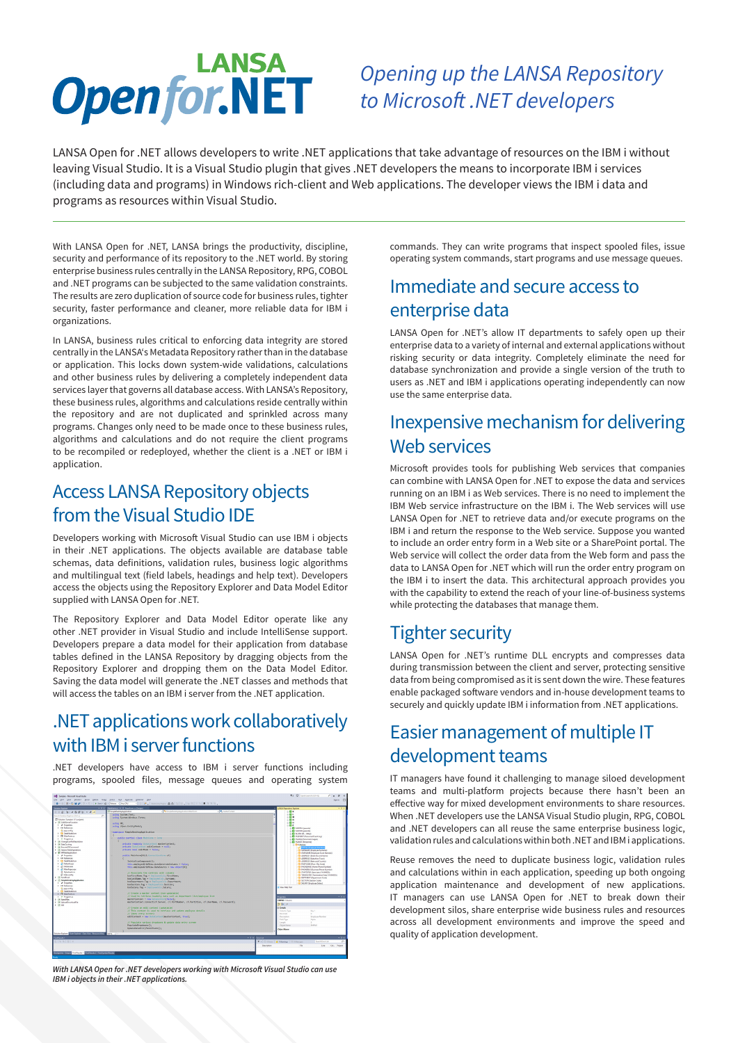# **LANSA Openfor, NET**

# *Opening up the LANSA Repository*  to Microsoft .NET developers

LANSA Open for .NET allows developers to write .NET applications that take advantage of resources on the IBM i without leaving Visual Studio. It is a Visual Studio plugin that gives .NET developers the means to incorporate IBM i services (including data and programs) in Windows rich-client and Web applications. The developer views the IBM i data and programs as resources within Visual Studio.

With LANSA Open for .NET, LANSA brings the productivity, discipline, security and performance of its repository to the .NET world. By storing enterprise business rules centrally in the LANSA Repository, RPG, COBOL and .NET programs can be subjected to the same validation constraints. The results are zero duplication of source code for business rules, tighter security, faster performance and cleaner, more reliable data for IBM i organizations.

In LANSA, business rules critical to enforcing data integrity are stored centrally in the LANSA's Metadata Repository rather than in the database or application. This locks down system-wide validations, calculations and other business rules by delivering a completely independent data services layer that governs all database access. With LANSA's Repository, these business rules, algorithms and calculations reside centrally within the repository and are not duplicated and sprinkled across many programs. Changes only need to be made once to these business rules, algorithms and calculations and do not require the client programs to be recompiled or redeployed, whether the client is a .NET or IBM i application.

## Access LANSA Repository objects from the Visual Studio IDE

Developers working with Microsoft Visual Studio can use IBM i objects in their .NET applications. The objects available are database table schemas, data definitions, validation rules, business logic algorithms and multilingual text (field labels, headings and help text). Developers access the objects using the Repository Explorer and Data Model Editor supplied with LANSA Open for .NET.

The Repository Explorer and Data Model Editor operate like any other .NET provider in Visual Studio and include IntelliSense support. Developers prepare a data model for their application from database tables defined in the LANSA Repository by dragging objects from the Repository Explorer and dropping them on the Data Model Editor. Saving the data model will generate the .NET classes and methods that will access the tables on an IBM i server from the .NET application.

# .NET applications work collaboratively with IBM i server functions

.NET developers have access to IBM i server functions including programs, spooled files, message queues and operating system



**With LANSA Open for .NET developers working with Microsoft Visual Studio can use IBM i objects in their .NET applications.**

commands. They can write programs that inspect spooled files, issue operating system commands, start programs and use message queues.

# Immediate and secure access to enterprise data

LANSA Open for .NET's allow IT departments to safely open up their enterprise data to a variety of internal and external applications without risking security or data integrity. Completely eliminate the need for database synchronization and provide a single version of the truth to users as .NET and IBM i applications operating independently can now use the same enterprise data.

# Inexpensive mechanism for delivering Web services

Microsoft provides tools for publishing Web services that companies can combine with LANSA Open for .NET to expose the data and services running on an IBM i as Web services. There is no need to implement the IBM Web service infrastructure on the IBM i. The Web services will use LANSA Open for .NET to retrieve data and/or execute programs on the IBM i and return the response to the Web service. Suppose you wanted to include an order entry form in a Web site or a SharePoint portal. The Web service will collect the order data from the Web form and pass the data to LANSA Open for .NET which will run the order entry program on the IBM i to insert the data. This architectural approach provides you with the capability to extend the reach of your line-of-business systems while protecting the databases that manage them.

# Tighter security

LANSA Open for .NET's runtime DLL encrypts and compresses data during transmission between the client and server, protecting sensitive data from being compromised as it is sent down the wire. These features enable packaged software vendors and in-house development teams to securely and quickly update IBM i information from .NET applications.

# Easier management of multiple IT development teams

IT managers have found it challenging to manage siloed development teams and multi-platform projects because there hasn't been an effective way for mixed development environments to share resources. When .NET developers use the LANSA Visual Studio plugin, RPG, COBOL and .NET developers can all reuse the same enterprise business logic, validation rules and calculations within both .NET and IBM i applications.

Reuse removes the need to duplicate business logic, validation rules and calculations within in each application, speeding up both ongoing application maintenance and development of new applications. IT managers can use LANSA Open for .NET to break down their development silos, share enterprise wide business rules and resources across all development environments and improve the speed and quality of application development.